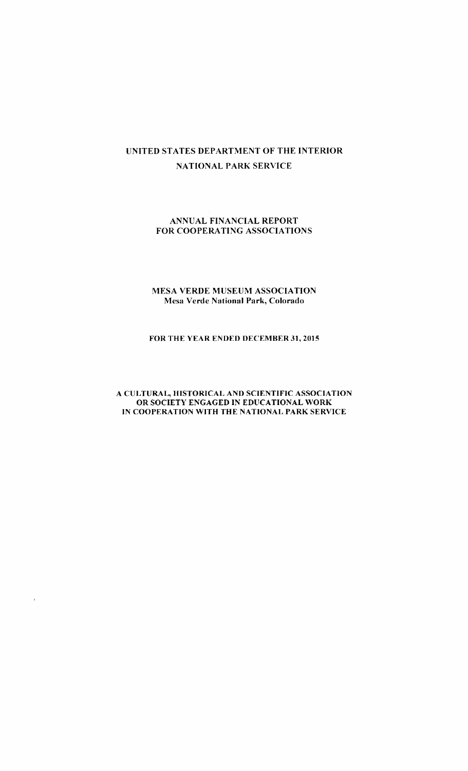# UNITED STATES DEPARTMENT OF THE INTERIOR NATIONAL PARK SERVICE

## ANNUAL FINANCIAL REPORT FOR COOPERATING ASSOCIATIONS

## MESA VERDE MUSEUM ASSOCIATION Mesa Verde National Park, Colorado

### FOR THE YEAR ENDED DECEMBER 31, 2015

### A CULTURAL, HISTORICAL AND SCIENTIFIC ASSOCIATION OR SOCIETY ENGAGED IN EDUCATIONAL WORK IN COOPERATION WITH THE NATIONAL PARK SERVICE

 $\hat{\mathbf{r}}$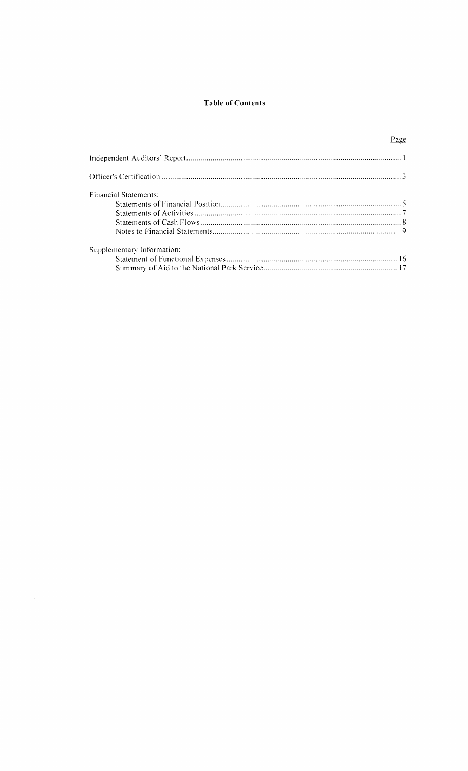## **Table of Contents**

|                            | Page |
|----------------------------|------|
|                            |      |
|                            |      |
| Financial Statements:      |      |
|                            |      |
|                            |      |
|                            |      |
|                            |      |
| Supplementary Information: |      |
|                            |      |
|                            |      |

 $\mathcal{L}^{\text{max}}_{\text{max}}$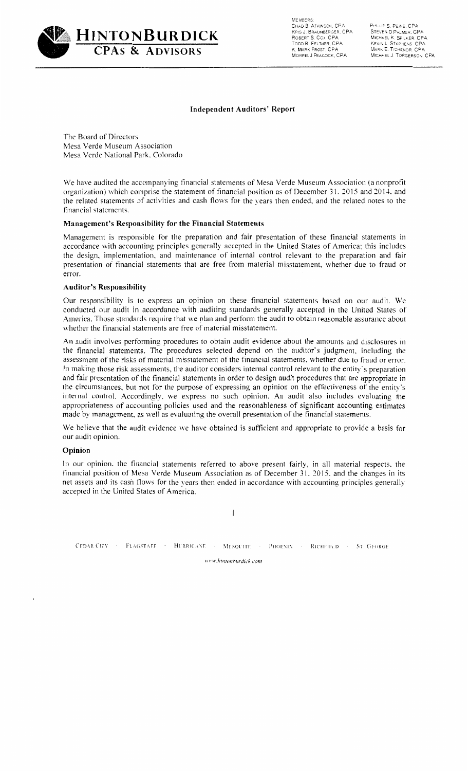

MEWBERS:<br>CHAD B. ATKINSON, CPA<br>KRIS J. BRAUNBERGER, CPA<br>ROBERT S. COX, CPA TODD B. FELTNER. CPA K. MARK FROST, CPA MORRIS J PEACOCK, CPA

PHILLIP S. PEINE, CPA<br>STEVEN D PALMER, CPA<br>MICHAEL K. SPILKER, CPA<br>KEVIN L. STEPHENS CPA<br>MARK E. TICHENOR, CPA<br>MICHAEL J. TORGERSON, CPA

#### **Independent Auditors' Report**

The Board of Directors Mesa Verde Museum Association Mesa Verde National Park. Colorado

\Ve have audited the accompanying financial statements of Mesa Verde Museum Association (a nonprofit organization) which comprise the statement of financial position as of December 31. 2015 and 2014, and the related statements of activities and cash flows for the years then ended, and the related notes to the financial statements.

#### **Management's Responsibility for the Financial Statements**

Management is responsible for the preparation and fair presentation of these financial statements in accordance with accounting principles generally accepted in the United States of America; this includes the design. implementation. and maintenance of internal control relevant to the preparation and fair presentation of financial statements that are free from material misstatement. whether due to fraud or error.

#### **Auditor's Responsibility**

Our responsibility is to express an opinion on these financial statements based on our audit. We conducted our audit in accordance with auditing standards generally accepted in the United States of America. Those standards require that we plan and perform the audit to obtain reasonable assurance about whether the financial statements are free of material misstatement.

An audit involves performing procedures to obtain audit evidence about the amounts and disclosures in the financial statements. The procedures selected depend on the auditor's judgment. including the assessment of the risks of material misstatement of the financial statements, whether due to fraud or error. In making those risk assessments, the auditor considers internal control relevant to the entity's preparation and fair presentation of the financial statements in order to design audit procedures that are appropriate in the circumstances. but not for the purpose of expressing an opinion on the effecriveness of the entity"s internal control. Accordingly. we express no such opinion. An audit also includes evaluating the appropriateness of accounting policies used and the reasonableness of significant accounting estimates made by management, as well as evaluating the overall presentation of the financial statements.

We believe that the audit evidence we have obtained is sufficient and appropriate to provide a basis for our audit opinion.

#### **Opinion**

In our opinion. the financial statements referred to above present fairly. in all material respects. the financial position of Mesa Verde Museum Association as of December 31, 2015, and the changes in its net assets and its cash flows for the years then ended in accordance with accounting principles generally accepted in the United States of America.

 $\mathbf{l}$ 

CEDAR CITY FLAGSTAFF · HURRICANE · MESQUITE · PHOENIX · RICHEIFLD · ST GEORGE

**111nr.l11111rmh11rdick** *c:am*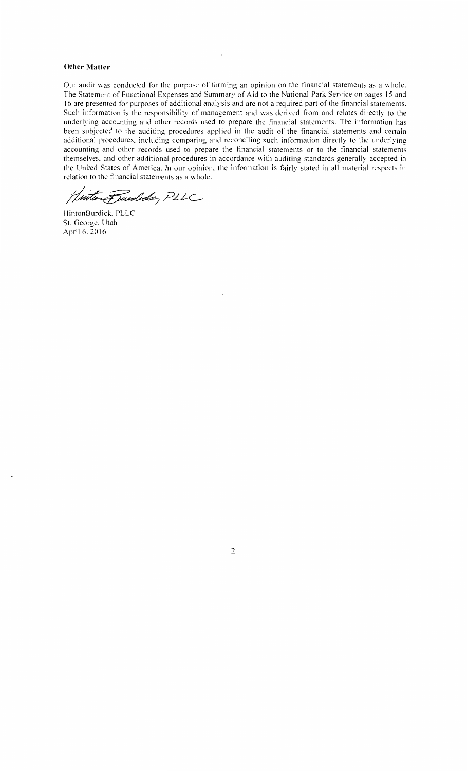#### **Other Matter**

Our audit \vas conducted for the purpose of forming an opinion on the financial statements as a whole. The Statement of Functional Expenses and Summary of Aid to the National Park Service on pages 15 and 16 are presented for purposes of additional analysis and are not a required part of the financial statements. Such information is the responsibility of management and was derived from and relates directly to the underlying accounting and other records used to prepare the financial statements. The information has been subjected to the auditing procedures applied in the audit of the financial statements and certain additional procedures. including comparing and reconciling such information directly to the underlying accounting and other records used to prepare the financial statements or to the financial statements themselves. and other additional procedures in accordance with auditing standards generally accepted in the United States of America. In our opinion. the information is fairly stated in all material respects in relation to the financial statements as a whole.

 $\overline{2}$ 

Huiter Fundeday PLLC

HintonBurdick. PLLC St. George. Utah April 6. 2016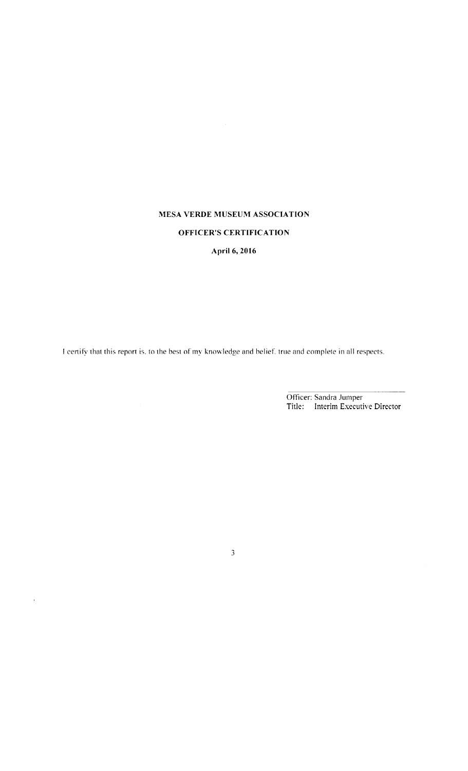## **MESA VERDE MUSEUM ASSOCIATION**

### **OFFICER'S CERTIFICATION**

**April 6, 2016** 

I certify that this report is. to the hest of my knowledge and belief true and complete in all respects.

Officer: Sandra Jumper Title: Interim Executive Director

3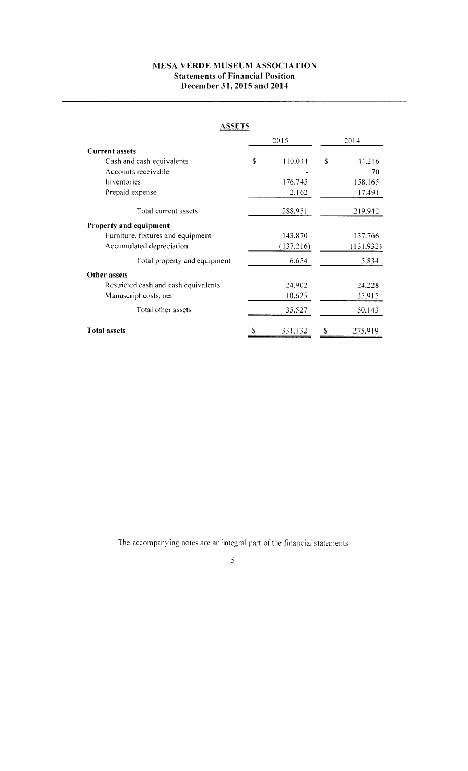### **MESA VERDE MUSEUM ASSOCIATION Statements of Financial Position December 31, 2015 and 2014**

| <b>ASSETS</b>                        |    |           |             |           |  |
|--------------------------------------|----|-----------|-------------|-----------|--|
|                                      |    | 2015      | 2014        |           |  |
| <b>Current assets</b>                |    |           |             |           |  |
| Cash and cash equivalents            | \$ | 110.044   | $\mathbf S$ | 44.216    |  |
| Accounts receivable                  |    |           |             | 70        |  |
| Inventories                          |    | 176.745   |             | 158.165   |  |
| Prepaid expense                      |    | 2,162     |             | 17.491    |  |
| Total current assets                 |    | 288,951   |             | 219.942   |  |
| Property and equipment               |    |           |             |           |  |
| Furniture. fixtures and equipment    |    | 143,870   |             | 137.766   |  |
| Accumulated depreciation             |    | (137.216) |             | (131.932) |  |
| Total property and equipment         |    | 6,654     |             | 5,834     |  |
| <b>Other assets</b>                  |    |           |             |           |  |
| Restricted cash and cash equivalents |    | 24,902    |             | 24.228    |  |
| Manuscript costs, net                |    | 10.625    |             | 25,915    |  |
| Total other assets                   |    | 35,527    |             | 50.143    |  |
| <b>Total assets</b>                  | S  | 331.132   | S           | 275.919   |  |

The accompanying notes are an integral part of the financial statements

 $\mathcal{A}^{\mathcal{A}}$ 

 $\bar{1}$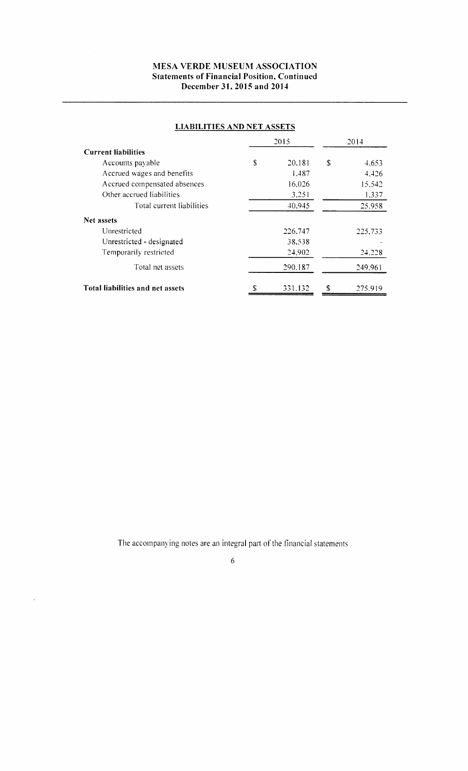## MESA VERDE MUSEUM ASSOCIATION Statements of Financial Position, Continued December 31, 2015 and 2014

|                                         |   | 2015    |    | 2014    |
|-----------------------------------------|---|---------|----|---------|
| <b>Current liabilities</b>              |   |         |    |         |
| Accounts payable                        | S | 20.181  | \$ | 4.653   |
| Accrued wages and benefits              |   | 1.487   |    | 4,426   |
| Accrued compensated absences            |   | 16,026  |    | 15.542  |
| Other accrued liabilities               |   | 3,251   |    | 1,337   |
| Total current liabilities               |   | 40,945  |    | 25,958  |
| Net assets                              |   |         |    |         |
| Unrestricted                            |   | 226.747 |    | 225,733 |
| Unrestricted - designated               |   | 38.538  |    |         |
| Temporarily restricted                  |   | 24,902  |    | 24,228  |
| Total net assets                        |   | 290,187 |    | 249.961 |
| <b>Total liabilities and net assets</b> |   | 331.132 |    | 275.919 |

# LIABILITIES AND NET ASSETS

The accompanying notes are an integral part of the financial statements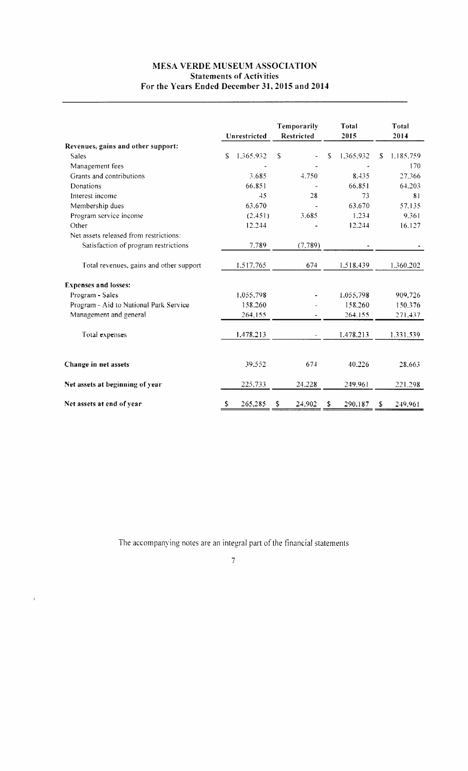## MESA VERDE MUSEUM ASSOCIATION Statements of Activities For the Years Ended December 31, 2015 and 2014

|                                         |    | Unrestricted | Temporarily<br>Restricted |         |   | Total<br>2015 |    | Total<br>2014 |
|-----------------------------------------|----|--------------|---------------------------|---------|---|---------------|----|---------------|
| Revenues, gains and other support:      |    |              |                           |         |   |               |    |               |
| Sales                                   | S. | 1.365.932    | S                         |         | S | 1,365,932     | S  | 1.185.759     |
| Management fees                         |    |              |                           |         |   |               |    | 170           |
| Grants and contributions                |    | 3.685        |                           | 4.750   |   | 8,435         |    | 27.366        |
| Donations                               |    | 66.851       |                           |         |   | 66.851        |    | 64,203        |
| Interest income                         |    | 45           |                           | 28      |   | 73            |    | 81            |
| Membership dues                         |    | 63,670       |                           |         |   | 63,670        |    | 57.135        |
| Program service income                  |    | (2,451)      |                           | 3.685   |   | $1.23 +$      |    | 9,361         |
| Other                                   |    | 12.244       |                           |         |   | 12,244        |    | 16.127        |
| Net assets released from restrictions:  |    |              |                           |         |   |               |    |               |
| Satisfaction of program restrictions    |    | 7.789        |                           | (7,789) |   |               |    |               |
| Total revenues, gains and other support |    | 1,517,765    |                           | 674     |   | 1.518.439     |    | 1,360,202     |
| <b>Expenses and losses:</b>             |    |              |                           |         |   |               |    |               |
| Program - Sales                         |    | 1,055,798    |                           |         |   | 1.055.798     |    | 909,726       |
| Program - Aid to National Park Service  |    | 158.260      |                           |         |   | 158.260       |    | 150,376       |
| Management and general                  |    | 264,155      |                           |         |   | 264.155       |    | 271,437       |
| Total expenses                          |    | 1,478.213    |                           |         |   | 1.478.213     |    | 1.331.539     |
| Change in net assets                    |    | 39.552       |                           | 674     |   | 40.226        |    | 28.663        |
| Net assets at beginning of year         |    | 225,733      | 24.228                    |         |   | 249,961       |    | 221,298       |
| Net assets at end of year               | S  | 265,285      | S<br>24,902               |         | S | 290.187       | \$ | 249.961       |

The accompanying notes are an integral part of the financial statements

 $\bar{\bar{1}}$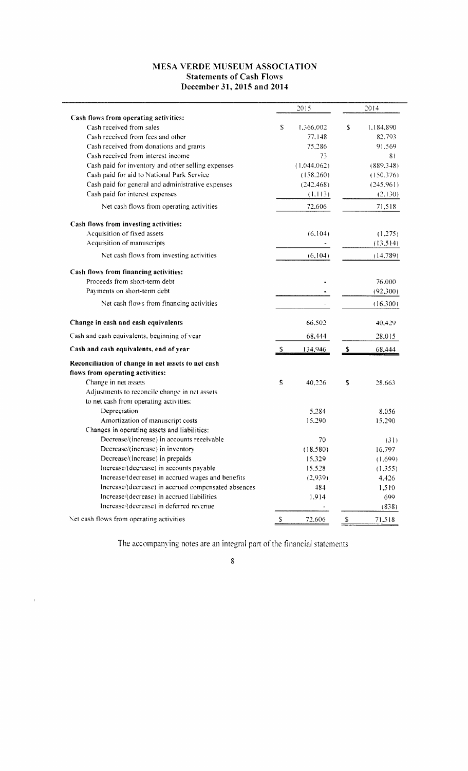# MESA VERDE MUSEUM ASSOCIATION Statements of Cash Flows December 31, 2015 and 2014

|                                                                                                   |   | 2015        |              | 2014      |
|---------------------------------------------------------------------------------------------------|---|-------------|--------------|-----------|
| Cash flows from operating activities:                                                             |   |             |              |           |
| Cash received from sales                                                                          | S | 1,366,002   | S            | 1.184.890 |
| Cash received from fees and other                                                                 |   | 77.148      |              | 82,793    |
| Cash received from donations and grants                                                           |   | 75,286      |              | 91.569    |
| Cash received from interest income                                                                |   | 73          |              | 81        |
| Cash paid for inventory and other selling expenses                                                |   | (1.044.062) |              | (889.348) |
| Cash paid for aid to National Park Service                                                        |   | (158.260)   |              | (150.376) |
| Cash paid for general and administrative expenses                                                 |   | (242.468)   |              | (245.961) |
| Cash paid for interest expenses                                                                   |   | (1, 113)    |              | (2.130)   |
| Net cash flows from operating activities                                                          |   | 72.606      |              | 71,518    |
| Cash flows from investing activities:                                                             |   |             |              |           |
| Acquisition of fixed assets                                                                       |   | (6, 104)    |              | (1,275)   |
| Acquisition of manuscripts                                                                        |   |             |              | (13,514)  |
| Net cash flows from investing activities                                                          |   | (6, 104)    |              | (14, 789) |
| Cash flows from financing activities:                                                             |   |             |              |           |
| Proceeds from short-term debt                                                                     |   |             |              | 76.000    |
| Payments on short-term debt                                                                       |   |             |              | (92,300)  |
| Net cash flows from financing activities                                                          |   |             |              | (16,300)  |
| Change in cash and cash equivalents                                                               |   | 66,502      |              | 40,429    |
| Cash and cash equivalents, beginning of year                                                      |   | 68,444      |              | 28.015    |
| Cash and cash equivalents, end of year                                                            | S | 134,946     | $\mathbf{s}$ | 68,444    |
| Reconciliation of change in net assets to net cash                                                |   |             |              |           |
| flows from operating activities:                                                                  |   |             |              |           |
| Change in net assets                                                                              | S | 40,226      | \$           | 28,663    |
| Adjustments to reconcile change in net assets                                                     |   |             |              |           |
| to net cash from operating activities:                                                            |   |             |              |           |
| Depreciation                                                                                      |   | 5.284       |              | 8.056     |
| Amortization of manuscript costs                                                                  |   | 15,290      |              | 15,290    |
| Changes in operating assets and liabilities:                                                      |   |             |              |           |
| Decrease/(increase) in accounts receivable                                                        |   | 70          |              | (31)      |
| Decrease/(increase) in inventory                                                                  |   | (18, 580)   |              | 16,797    |
| Decrease/(increase) in prepaids                                                                   |   | 15,329      |              | (1.699)   |
| Increase/(decrease) in accounts payable                                                           |   | 15.528      |              | (1,355)   |
| Increase/(decrease) in accrued wages and benefits                                                 |   | (2,939)     |              | 4,426     |
| Increase/(decrease) in accrued compensated absences<br>Increase/(decrease) in accrued liabilities |   | 484         |              | 1,510     |
|                                                                                                   |   | 1.914       |              | 699       |
| Increase/(decrease) in deferred revenue                                                           |   |             |              | (838)     |

The accompanying notes are an integral part of the financial statements

 $\hat{\mathbf{r}}$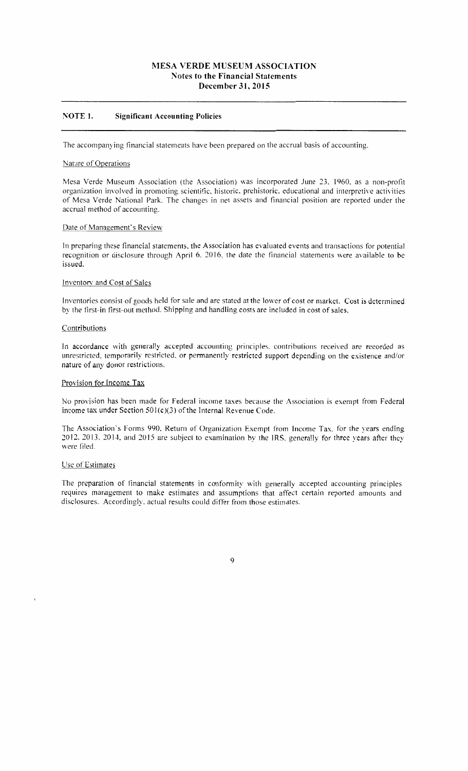### **l'IOTE l. Significant Accounting Policies**

The accompanying financial statements have been prepared on the accrual basis of accounting.

#### Nature of Operations

Mesa Verde Museum Association (the Association) was incorporated June *23.* I 960. as a non-profit organization involved in promoting scientific. historic. prehistoric. educational and interpretive activities of Mesa Verde National Park. The changes in net assets and financial position are reported under the accrual method of accounting.

#### Date of Management's Review

In preparing these financial statements. the Association has evaluated events and transactions for potential recognition or disclosure through April 6. 2016, the date the financial statements were available to be issued.

#### Inventory and Cost of Sales

Inventories consist of goods held for sale and are stated at the lower of cost or market. Cost is determined by the first-in first-out method. Shipping and handling costs are included in cost of sales.

#### Contributions

In accordance with generally accepted accounting principles. contributions received are recorded as unrestricted, temporarily restricted, or permanently restricted support depending on the existence and/or nature of any donor restrictions.

#### Provision for Income Tax

No provision has been made for Federal income taxes because the Association is exempt from Federal income tax under Section  $501(c)(3)$  of the Internal Revenue Code.

The Association's Forms 990. Return of Organization Exempt from Income Tax. for the years ending 2012. 2013. 2014, and 2015 are subject to examination by the IRS. generally for three years after they were filed\_

#### Use of Estimates

The preparation of financial statements in conformity with generally accepted accounting principles requires management to make estimates and assumptions that affect certain reported amounts and disclosures. Accordingly. actual results could differ from those estimates.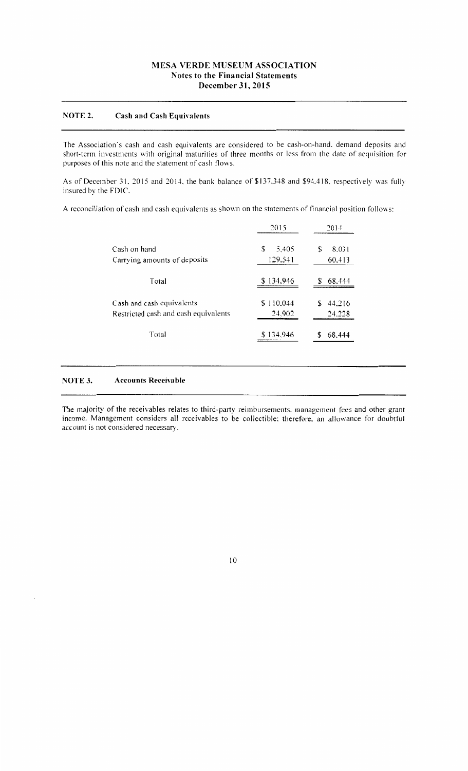#### NOTE 2. Cash and Cash Equivalents

The Association's cash and cash equivalents are considered to be cash-on-hand. demand deposits and short-term investments with original maturities of three months or less from the date of acquisition for purposes of this note and the statement of cash flows.

As of December 31, 2015 and 2014, the bank balance of \$137,348 and \$94.418, respectively was fully insured by the FDIC.

A reconciliation of cash and cash equivalents as shown on the statements of financial position follows:

|                                                                   | 2015                  | 2014                  |
|-------------------------------------------------------------------|-----------------------|-----------------------|
| Cash on hand<br>Carrying amounts of deposits                      | S<br>5.405<br>129.541 | \$<br>8.031<br>60,413 |
| Total                                                             | \$134.946             | \$68,444              |
| Cash and cash equivalents<br>Restricted cash and cash equivalents | \$110.044<br>24,902   | 44.216<br>S<br>24.228 |
| Total                                                             | \$134,946             | 68.444                |

#### NOTE3. Accounts Receivable

The majority of the receivables relates to third-party reimbursements. management fees and other grant income. Management considers all receivables to be collectible: therefore. an allowance for doubtful account is not considered necessary.

### IO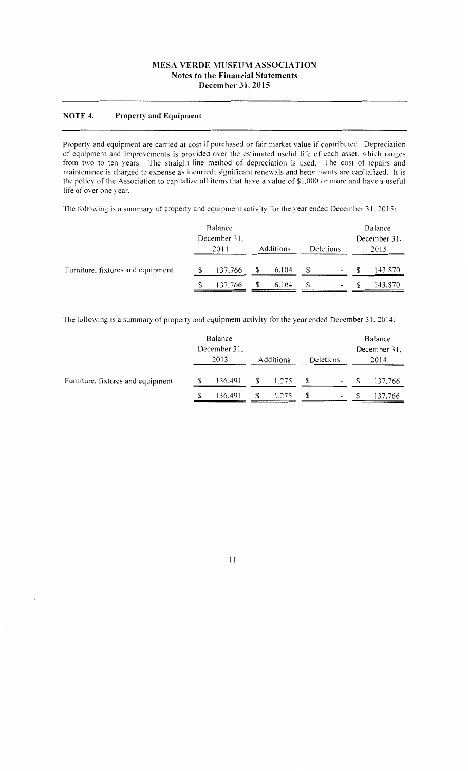#### NOTE<sub>4</sub>. Property and Equipment

Property and equipment are carried at cost if purchased or fair market value if contributed. Depreciation of equipment and improvements is provided over the estimated useful life of each asset. which ranges from two to ten years. The straight-line method of depreciation is used. The cost of repairs and maintenance is charged to expense as incurred: significant renewals and betterments are capitalized. It is the policy of the Association to capitalize all items that have a value of \$1.000 or more and have a useful life of over one year.

The following is a summary of property and equipment activity for the year ended December 31. 2015:

|                                   | Balance<br>December 31. |         |  |       |           |                          | Balance<br>December 31, |         |      |  |
|-----------------------------------|-------------------------|---------|--|-------|-----------|--------------------------|-------------------------|---------|------|--|
|                                   | 2014                    |         |  |       | Additions |                          | Deletions               |         | 2015 |  |
| Furniture, fixtures and equipment |                         | 137,766 |  | 6.104 |           | $\overline{\phantom{0}}$ |                         | 143.870 |      |  |
|                                   |                         | 137.766 |  | 6.104 | \$        | $\blacksquare$           |                         | 143,870 |      |  |

The following is a summary of property and equipment activity for the year ended December 31. 2014:

|                                   |     | Balance<br>December 31. |      |           |     |                     | Balance<br>December 31. |
|-----------------------------------|-----|-------------------------|------|-----------|-----|---------------------|-------------------------|
|                                   |     | 2013                    |      | Additions |     | Deletions.          | 2014                    |
| Furniture, fixtures and equipment |     | 136,491                 | - 56 | 1.275     | -SS | $\hat{\phantom{a}}$ | 137,766                 |
|                                   | SS. | 136.491                 |      | 1.275     |     | $\bullet$           | 137.766                 |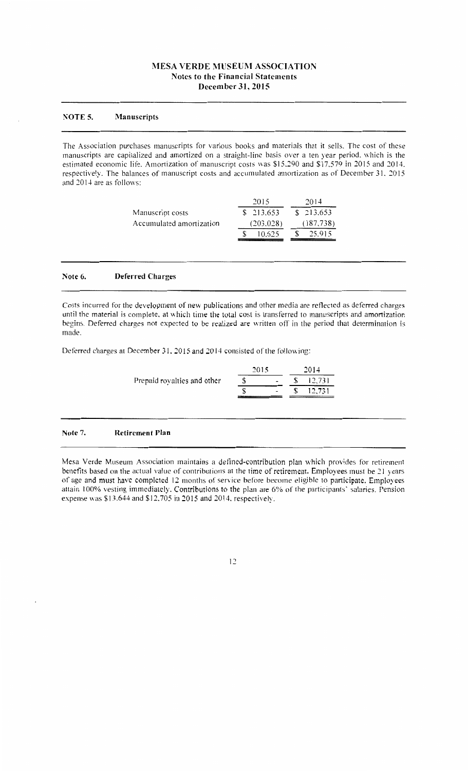#### NOTE 5. Manuscripts

The Association purchases manuscripts for various books and materials that it sells. The cost of these manuscripts are capitalized and amortized on a straight-line basis over a ten year period. which is the estimated economic life. Amortization of manuscript costs was \$15.290 and \$17.579 in 2015 and 2014. respectively. The balances of manuscript costs and accumulated amortization as of December 31, 2015 and 2014 are as follows:

|                          | 2015      | 2014       |
|--------------------------|-----------|------------|
| Manuscript costs         | \$213.653 | \$213.653  |
| Accumulated amortization | (203.028) | (187, 738) |
|                          | 10.625    | 25.915     |

### Note 6. Deferred Charges

Costs incurred for the development of new publications and other media are reflected as deferred charges until the material is complete, at which time the total cost is transferred to manuscripts and amortization begins. Deferred charges not expected to be realized are written off in the period that determination is made.

Deferred charges at December 31. 2015 and 2014 consisted of the following:

|                             | 2015                     | 2014 |        |  |
|-----------------------------|--------------------------|------|--------|--|
| Prepaid royalties and other |                          |      | 12.731 |  |
|                             | $\overline{\phantom{0}}$ |      | 12.731 |  |

#### Note 7. Retirement Plan

Mesa Verde Museum Association maintains a defined-contribution plan which provides for retirement benefits based on the actual value of contributions at the time of retirement. Employees must be 21 years of age and must have completed 12 months of service before become eligible to participate. Employees attain 100% vesting immediately. Contributions to the plan are 6% of the participants' salaries. Pension expense was \$13.644 and \$12.705 in 2015 and 2014. respectively.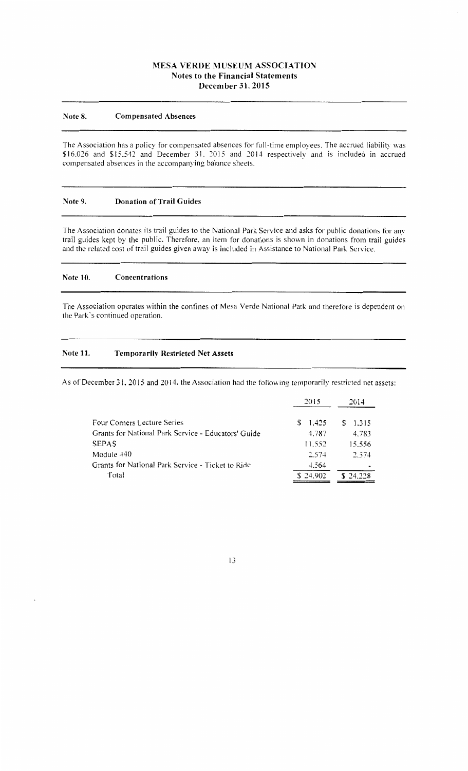#### Note 8. Compensated Absences

The Association has a policy for compensated absences for full-time employees. The accrued liability was \$16.026 and \$15.542 and December 31. 2015 and 2014 respectively and is included in accrued compensated absences in the accompanying balance sheets.

### Note 9. Donation of Trail Guides

The Association donates its trail guides to the National Park Service and asks for public donations for any trail guides kept by the public. Therefore, an item for donations is shown in donations from trail guides and the related cost of trail guides given away is included in Assistance to National Park Service.

#### Note 10. Concentrations

The Association operates within the confines of Mesa Verde National Park and therefore is dependent on the Park's continued operation.

### Note 11. Temporarily Restricted Net Assets

As of December 31, 2015 and 2014, the Association had the following temporarily restricted net assets:

|                                                     | 2015        | 2014          |
|-----------------------------------------------------|-------------|---------------|
| Four Corners Lecture Series                         | 1.425<br>Ж. | -1.315<br>\$. |
| Grants for National Park Service - Educators' Guide | 4.787       | 4.783         |
| <b>SEPAS</b>                                        | 11.552      | 15.556        |
| Module 440                                          | 2.574       | 2.574         |
| Grants for National Park Service - Ticket to Ride   | 4.564       |               |
| Total                                               | \$24.902    | \$24228       |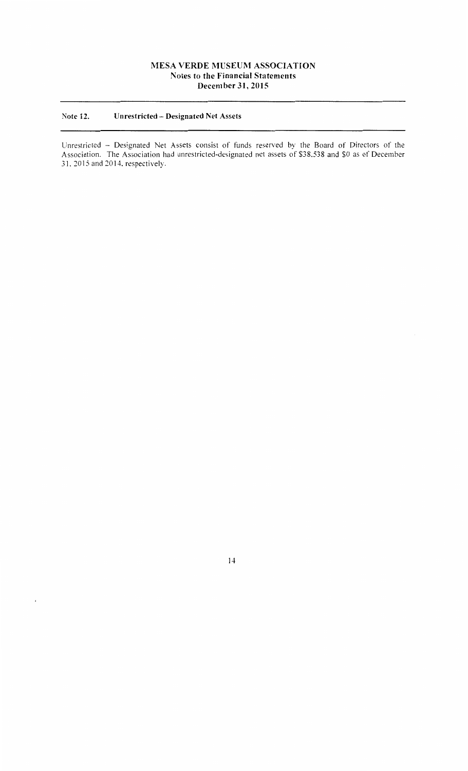#### Note 12. Unrestricted - Designated Net Assets

Unrestricted - Designated Net Assets consist of funds reserved by the Board of Directors of the Association. The Association had unrestricted-designated net assets of \$38.538 and \$0 as of December 31. 2015 and 2014. respectively.

14

 $\ddot{\phantom{1}}$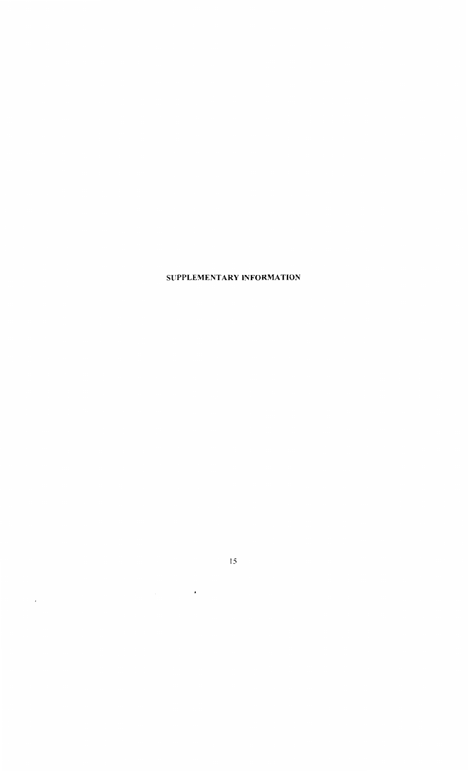# SUPPLEMENTARY INFORMATION

15

 $\label{eq:2.1} \frac{1}{\sqrt{2\pi}}\int_{\mathbb{R}^3}\frac{1}{\sqrt{2\pi}}\left(\frac{1}{\sqrt{2\pi}}\right)^2\frac{1}{\sqrt{2\pi}}\int_{\mathbb{R}^3}\frac{1}{\sqrt{2\pi}}\left(\frac{1}{\sqrt{2\pi}}\right)^2\frac{1}{\sqrt{2\pi}}\frac{1}{\sqrt{2\pi}}\int_{\mathbb{R}^3}\frac{1}{\sqrt{2\pi}}\frac{1}{\sqrt{2\pi}}\frac{1}{\sqrt{2\pi}}\frac{1}{\sqrt{2\pi}}\frac{1}{\sqrt{2\pi}}\frac{1}{\sqrt{2\$ 

 $\mathcal{L}(\mathcal{A})$  and  $\mathcal{L}(\mathcal{A})$  .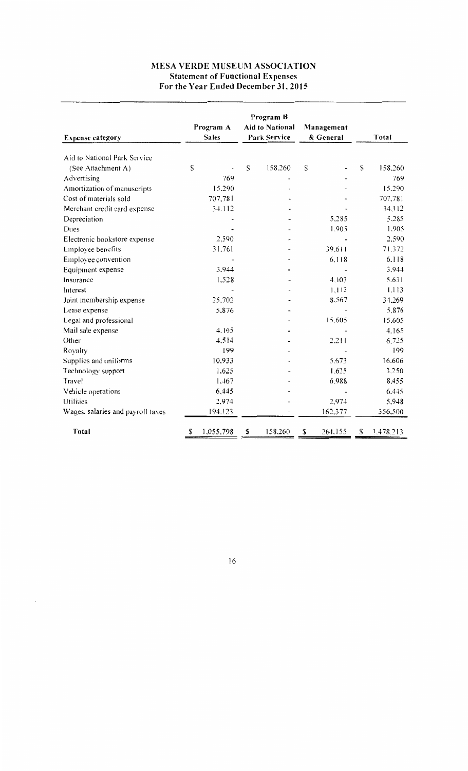## MESA VERDE MUSEUM ASSOCIATION Statement of Functional Expenses For the Year Ended December 31, 2015

| <b>Expense category</b>           | Program A<br><b>Sales</b> | Program B<br><b>Aid to National</b><br>Park Service |         | Management<br>& General |   | Total     |
|-----------------------------------|---------------------------|-----------------------------------------------------|---------|-------------------------|---|-----------|
| Aid to National Park Service      |                           |                                                     |         |                         |   |           |
| (See Attachment A)                | S                         | S                                                   | 158.260 | S                       | S | 158,260   |
| Advertising                       | 769                       |                                                     |         |                         |   | 769       |
| Amortization of manuscripts       | 15,290                    |                                                     |         |                         |   | 15,290    |
| Cost of materials sold            | 707,781                   |                                                     |         |                         |   | 707.781   |
| Merchant credit card expense      | 34,112                    |                                                     |         |                         |   | 34,112    |
| Depreciation                      |                           |                                                     |         | 5.285                   |   | 5.285     |
| Dues                              |                           |                                                     |         | 1.905                   |   | 1.905     |
| Electronic bookstore expense      | 2,590                     |                                                     |         |                         |   | 2.590     |
| Employee benefits                 | 31.761                    |                                                     |         | 39,611                  |   | 71,372    |
| Employee convention               |                           |                                                     |         | 6,118                   |   | 6.118     |
| Equipment expense                 | 3.944                     |                                                     |         |                         |   | 3,944     |
| Insurance                         | 1,528                     |                                                     |         | 4.103                   |   | 5.631     |
| Interest                          |                           |                                                     |         | 1,113                   |   | 1,113     |
| Joint membership expense          | 25.702                    |                                                     |         | 8,567                   |   | 34,269    |
| Lease expense                     | 5,876                     |                                                     |         |                         |   | 5,876     |
| Legal and professional            |                           |                                                     |         | 15,605                  |   | 15,605    |
| Mail sale expense                 | 4,165                     |                                                     |         |                         |   | 4.165     |
| Other                             | 4,514                     |                                                     |         | 2.211                   |   | 6,725     |
| Royalty                           | 199                       |                                                     |         |                         |   | 199       |
| Supplies and uniforms             | 10.933                    |                                                     |         | 5.673                   |   | 16.606    |
| Technology support                | 1.625                     |                                                     |         | 1.625                   |   | 3,250     |
| Travel                            | 1,467                     |                                                     |         | 6.988                   |   | 8.455     |
| Vehicle operations                | 6,445                     |                                                     |         | $\hat{\phantom{a}}$     |   | 6.445     |
| Utilities                         | 2,974                     |                                                     |         | 2,974                   |   | 5,948     |
| Wages, salaries and payroll taxes | 194.123                   |                                                     |         | 162,377                 |   | 356,500   |
| <b>Total</b>                      | 1,055,798<br>\$           | \$                                                  | 158,260 | S<br>264,155            | S | 1.478.213 |

 $\hat{\boldsymbol{\beta}}$